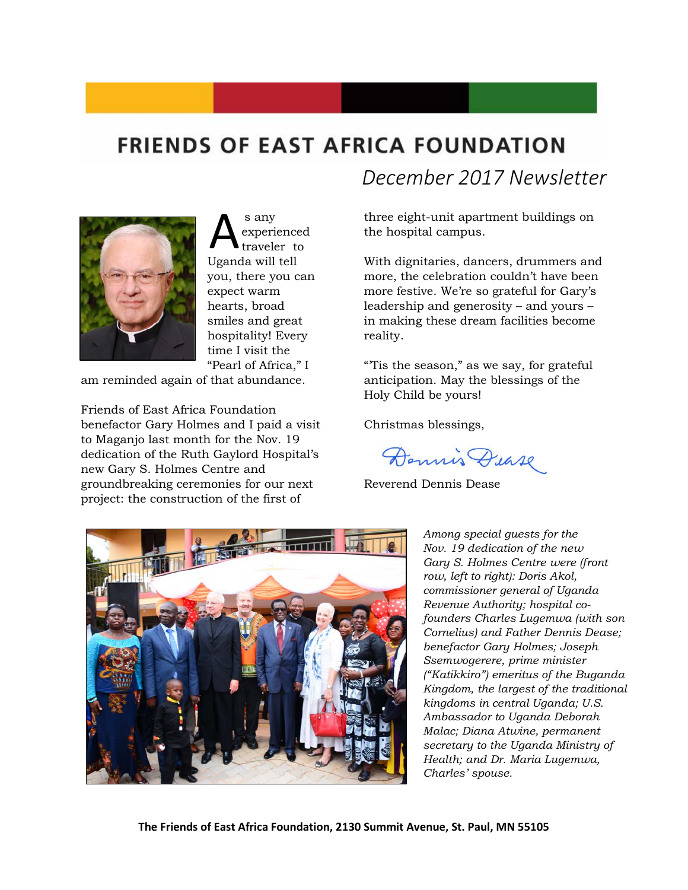## **FRIENDS OF EAST AFRICA FOUNDATION**



s any experienced traveler to Sany<br>
traveler to<br>
Uganda will tell you, there you can expect warm hearts, broad smiles and great hospitality! Every time I visit the "Pearl of Africa," I

am reminded again of that abundance.

Friends of East Africa Foundation benefactor Gary Holmes and I paid a visit to Maganjo last month for the Nov. 19 dedication of the Ruth Gaylord Hospital's new Gary S. Holmes Centre and groundbreaking ceremonies for our next project: the construction of the first of

*December 2017 Newsletter*

three eight-unit apartment buildings on the hospital campus.

With dignitaries, dancers, drummers and more, the celebration couldn't have been more festive. We're so grateful for Gary's leadership and generosity – and yours – in making these dream facilities become reality.

"'Tis the season," as we say, for grateful anticipation. May the blessings of the Holy Child be yours!

Christmas blessings,

Dennis Dease

Reverend Dennis Dease



*Among special guests for the Nov. 19 dedication of the new Gary S. Holmes Centre were (front row, left to right): Doris Akol, commissioner general of Uganda Revenue Authority; hospital cofounders Charles Lugemwa (with son Cornelius) and Father Dennis Dease; benefactor Gary Holmes; Joseph Ssemwogerere, prime minister ("Katikkiro") emeritus of the Buganda Kingdom, the largest of the traditional kingdoms in central Uganda; U.S. Ambassador to Uganda Deborah Malac; Diana Atwine, permanent secretary to the Uganda Ministry of Health; and Dr. Maria Lugemwa, Charles' spouse.*

**The Friends of East Africa Foundation, 2130 Summit Avenue, St. Paul, MN 55105**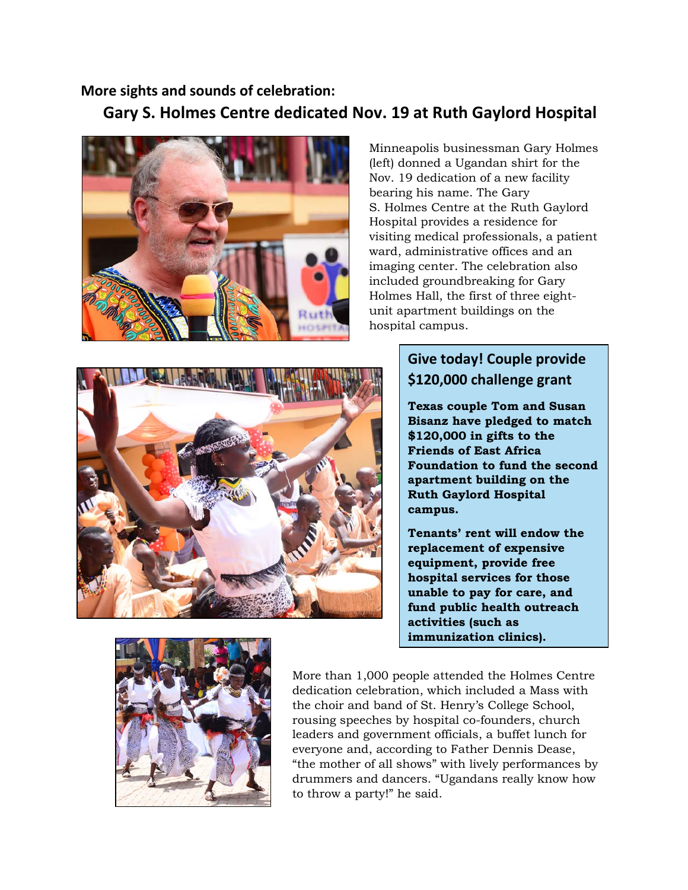**More sights and sounds of celebration:**

 **Gary S. Holmes Centre dedicated Nov. 19 at Ruth Gaylord Hospital**



Minneapolis businessman Gary Holmes (left) donned a Ugandan shirt for the Nov. 19 dedication of a new facility bearing his name. The Gary S. Holmes Centre at the Ruth Gaylord Hospital provides a residence for visiting medical professionals, a patient ward, administrative offices and an imaging center. The celebration also included groundbreaking for Gary Holmes Hall, the first of three eightunit apartment buildings on the hospital campus.



#### **Give today! Couple provide \$120,000 challenge grant**

**Texas couple Tom and Susan Bisanz have pledged to match \$120,000 in gifts to the Friends of East Africa Foundation to fund the second apartment building on the Ruth Gaylord Hospital campus.** 

**Tenants' rent will endow the replacement of expensive equipment, provide free hospital services for those unable to pay for care, and fund public health outreach activities (such as immunization clinics).**



More than 1,000 people attended the Holmes Centre dedication celebration, which included a Mass with the choir and band of St. Henry's College School, rousing speeches by hospital co-founders, church leaders and government officials, a buffet lunch for everyone and, according to Father Dennis Dease, "the mother of all shows" with lively performances by drummers and dancers. "Ugandans really know how to throw a party!" he said.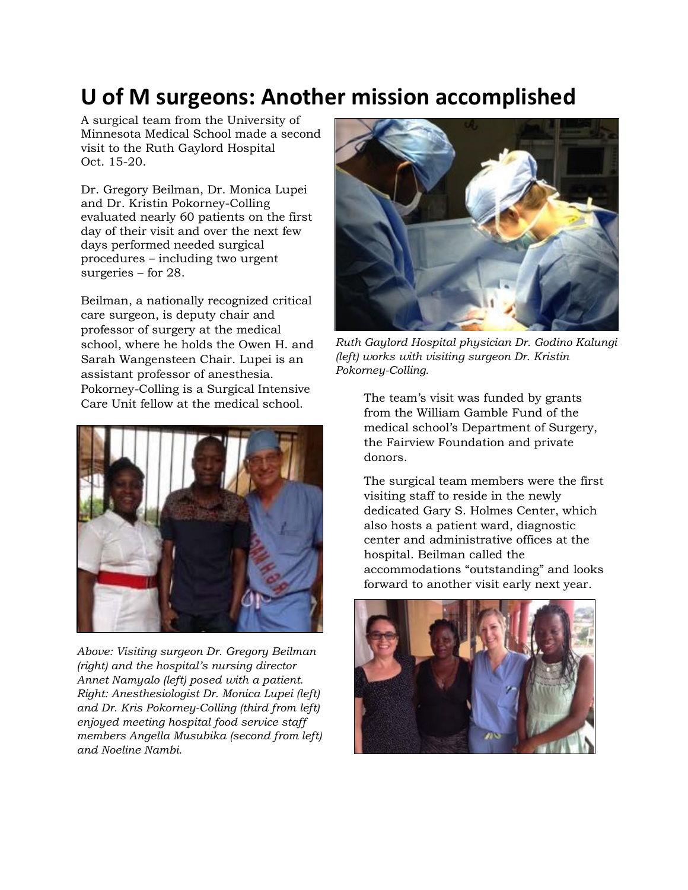# **U of M surgeons: Another mission accomplished**

A surgical team from the University of Minnesota Medical School made a second visit to the Ruth Gaylord Hospital Oct. 15-20.

Dr. Gregory Beilman, Dr. Monica Lupei and Dr. Kristin Pokorney-Colling evaluated nearly 60 patients on the first day of their visit and over the next few days performed needed surgical procedures – including two urgent surgeries – for 28.

Beilman, a nationally recognized critical care surgeon, is deputy chair and professor of surgery at the medical school, where he holds the Owen H. and Sarah Wangensteen Chair. Lupei is an assistant professor of anesthesia. Pokorney-Colling is a Surgical Intensive Care Unit fellow at the medical school. The team's visit was funded by grants



*Above: Visiting surgeon Dr. Gregory Beilman (right) and the hospital's nursing director Annet Namyalo (left) posed with a patient. Right: Anesthesiologist Dr. Monica Lupei (left) and Dr. Kris Pokorney-Colling (third from left) enjoyed meeting hospital food service staff members Angella Musubika (second from left) and Noeline Nambi.*



*Ruth Gaylord Hospital physician Dr. Godino Kalungi (left) works with visiting surgeon Dr. Kristin Pokorney-Colling.*

from the William Gamble Fund of the medical school's Department of Surgery, the Fairview Foundation and private donors.

The surgical team members were the first visiting staff to reside in the newly dedicated Gary S. Holmes Center, which also hosts a patient ward, diagnostic center and administrative offices at the hospital. Beilman called the accommodations "outstanding" and looks forward to another visit early next year.